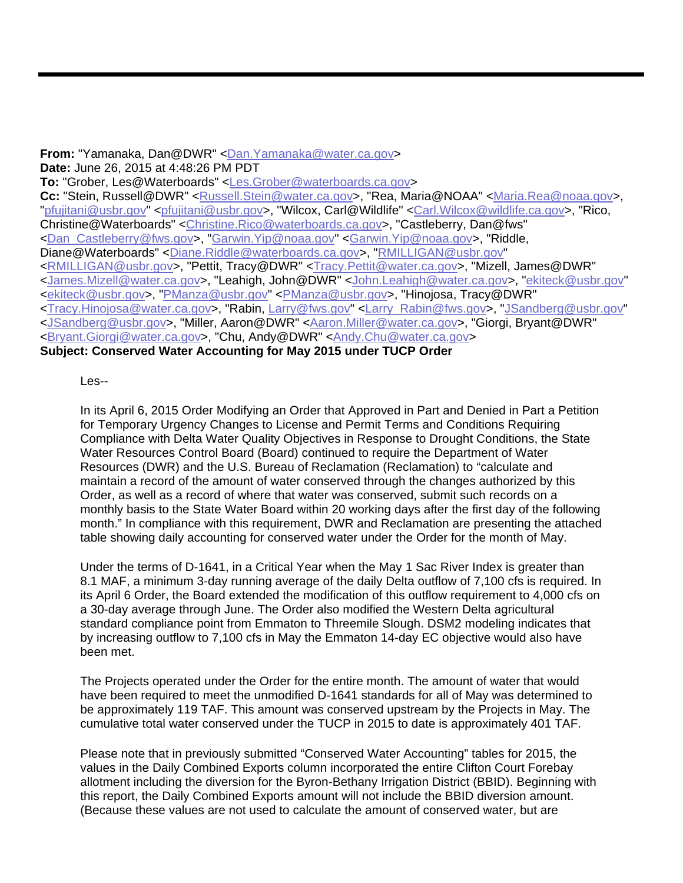**From:** "Yamanaka, Dan@DWR" <Dan.Yamanaka@water.ca.gov> **Date:** June 26, 2015 at 4:48:26 PM PDT **To:** "Grober, Les@Waterboards" <Les.Grober@waterboards.ca.gov> Cc: "Stein, Russell@DWR" <Russell.Stein@water.ca.gov>, "Rea, Maria@NOAA" <Maria.Rea@noaa.gov>, "pfujitani@usbr.gov" <pfujitani@usbr.gov>, "Wilcox, Carl@Wildlife" <Carl.Wilcox@wildlife.ca.gov>, "Rico, Christine@Waterboards" <Christine.Rico@waterboards.ca.gov>, "Castleberry, Dan@fws" <Dan\_Castleberry@fws.gov>, "Garwin.Yip@noaa.gov" <Garwin.Yip@noaa.gov>, "Riddle, Diane@Waterboards" <Diane.Riddle@waterboards.ca.gov>, "RMILLIGAN@usbr.gov" <RMILLIGAN@usbr.gov>, "Pettit, Tracy@DWR" <Tracy.Pettit@water.ca.gov>, "Mizell, James@DWR" <James.Mizell@water.ca.gov>, "Leahigh, John@DWR" <John.Leahigh@water.ca.gov>, "ekiteck@usbr.gov" <ekiteck@usbr.gov>, "PManza@usbr.gov" <PManza@usbr.gov>, "Hinojosa, Tracy@DWR" <Tracy.Hinojosa@water.ca.gov>, "Rabin, Larry@fws.gov" <Larry\_Rabin@fws.gov>, "JSandberg@usbr.gov" <JSandberg@usbr.gov>, "Miller, Aaron@DWR" <Aaron.Miller@water.ca.gov>, "Giorgi, Bryant@DWR" <Bryant.Giorgi@water.ca.gov>, "Chu, Andy@DWR" <Andy.Chu@water.ca.gov> **Subject: Conserved Water Accounting for May 2015 under TUCP Order** 

Les--

In its April 6, 2015 Order Modifying an Order that Approved in Part and Denied in Part a Petition for Temporary Urgency Changes to License and Permit Terms and Conditions Requiring Compliance with Delta Water Quality Objectives in Response to Drought Conditions, the State Water Resources Control Board (Board) continued to require the Department of Water Resources (DWR) and the U.S. Bureau of Reclamation (Reclamation) to "calculate and maintain a record of the amount of water conserved through the changes authorized by this Order, as well as a record of where that water was conserved, submit such records on a monthly basis to the State Water Board within 20 working days after the first day of the following month." In compliance with this requirement, DWR and Reclamation are presenting the attached table showing daily accounting for conserved water under the Order for the month of May.

Under the terms of D-1641, in a Critical Year when the May 1 Sac River Index is greater than 8.1 MAF, a minimum 3-day running average of the daily Delta outflow of 7,100 cfs is required. In its April 6 Order, the Board extended the modification of this outflow requirement to 4,000 cfs on a 30-day average through June. The Order also modified the Western Delta agricultural standard compliance point from Emmaton to Threemile Slough. DSM2 modeling indicates that by increasing outflow to 7,100 cfs in May the Emmaton 14-day EC objective would also have been met.

The Projects operated under the Order for the entire month. The amount of water that would have been required to meet the unmodified D-1641 standards for all of May was determined to be approximately 119 TAF. This amount was conserved upstream by the Projects in May. The cumulative total water conserved under the TUCP in 2015 to date is approximately 401 TAF.

Please note that in previously submitted "Conserved Water Accounting" tables for 2015, the values in the Daily Combined Exports column incorporated the entire Clifton Court Forebay allotment including the diversion for the Byron-Bethany Irrigation District (BBID). Beginning with this report, the Daily Combined Exports amount will not include the BBID diversion amount. (Because these values are not used to calculate the amount of conserved water, but are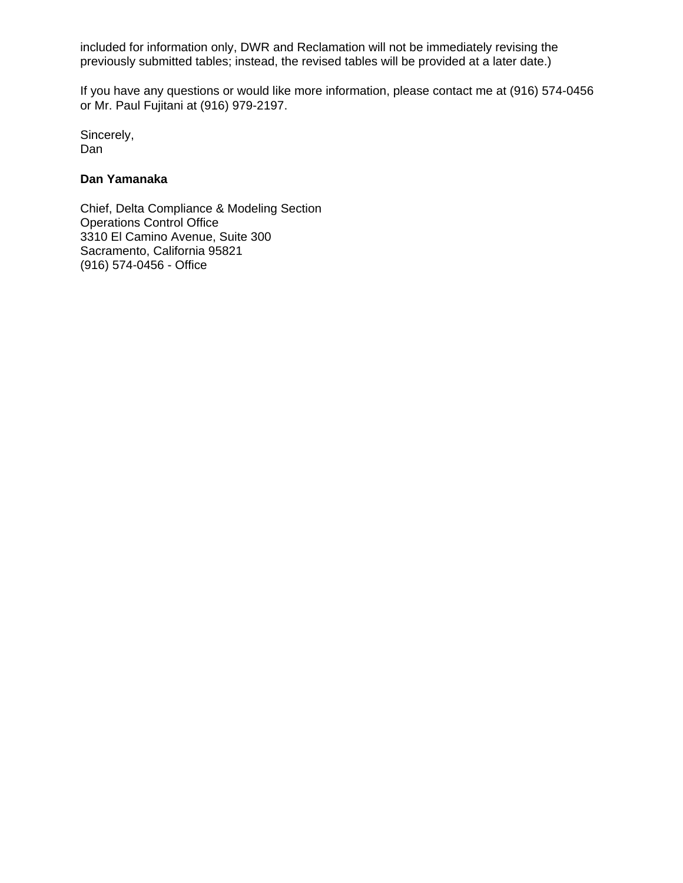included for information only, DWR and Reclamation will not be immediately revising the previously submitted tables; instead, the revised tables will be provided at a later date.)

If you have any questions or would like more information, please contact me at (916) 574-0456 or Mr. Paul Fujitani at (916) 979-2197.

Sincerely, Dan

## **Dan Yamanaka**

Chief, Delta Compliance & Modeling Section Operations Control Office 3310 El Camino Avenue, Suite 300 Sacramento, California 95821 (916) 574-0456 - Office